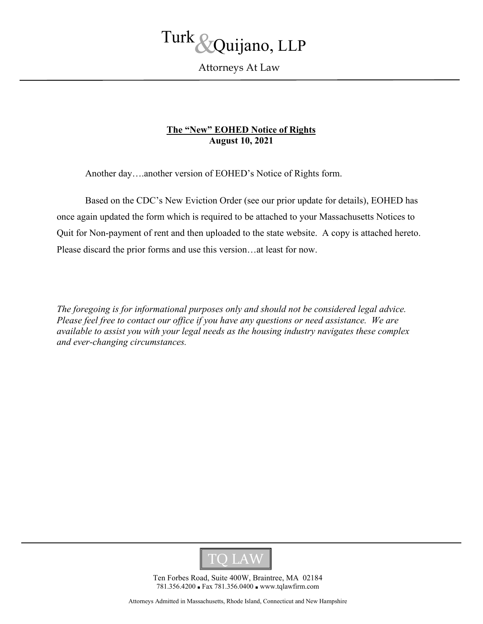

Attorneys At Law

# **The "New" EOHED Notice of Rights August 10, 2021**

Another day….another version of EOHED's Notice of Rights form.

Based on the CDC's New Eviction Order (see our prior update for details), EOHED has once again updated the form which is required to be attached to your Massachusetts Notices to Quit for Non-payment of rent and then uploaded to the state website. A copy is attached hereto. Please discard the prior forms and use this version…at least for now.

*The foregoing is for informational purposes only and should not be considered legal advice. Please feel free to contact our office if you have any questions or need assistance. We are available to assist you with your legal needs as the housing industry navigates these complex and ever-changing circumstances.* 



Ten Forbes Road, Suite 400W, Braintree, MA 02184 781.356.4200 ■ Fax 781.356.0400 ■ www.tqlawfirm.com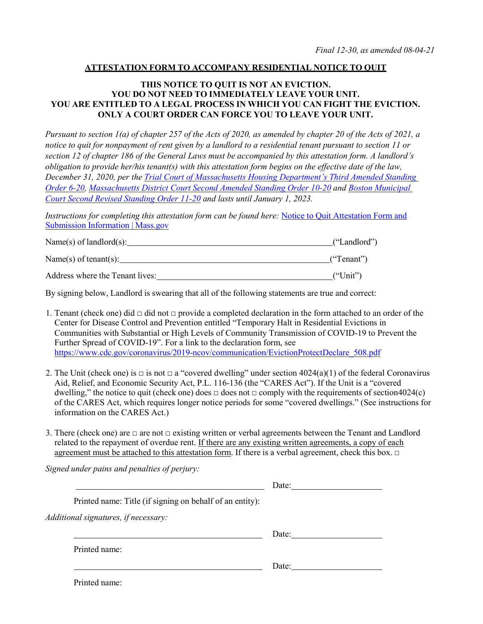### **ATTESTATION FORM TO ACCOMPANY RESIDENTIAL NOTICE TO QUIT**

### **THIS NOTICE TO QUIT IS NOT AN EVICTION. YOU DO NOT NEED TO IMMEDIATELY LEAVE YOUR UNIT. YOU ARE ENTITLED TO A LEGAL PROCESS IN WHICH YOU CAN FIGHT THE EVICTION. ONLY A COURT ORDER CAN FORCE YOU TO LEAVE YOUR UNIT.**

*Pursuant to section 1(a) of chapter 257 of the Acts of 2020, as amended by chapter 20 of the Acts of 2021, a notice to quit for nonpayment of rent given by a landlord to a residential tenant pursuant to section 11 or section 12 of chapter 186 of the General Laws must be accompanied by this attestation form. A landlord's obligation to provide her/his tenant(s) with this attestation form begins on the effective date of the law, December 31, 2020, per the [Trial Court of Massachusetts Housing Department's Third Amended Standing](https://www.mass.gov/housing-court-rules/third-amended-housing-court-standing-order-6-20-continuation-of-temporary-modifications-to-court-operations-based-on-the-coronavirus-covid-19-pandemic-and-recent-legislation-affecting-summary-process-cases)  [Order 6-20,](https://www.mass.gov/housing-court-rules/third-amended-housing-court-standing-order-6-20-continuation-of-temporary-modifications-to-court-operations-based-on-the-coronavirus-covid-19-pandemic-and-recent-legislation-affecting-summary-process-cases) [Massachusetts District Court Second Amended Standing Order 10-20](https://www.mass.gov/districtmunicipal-court-rules/district-court-second-amended-standing-order-10-20-court-operations-for-the-adjudication-of-summary-process-cases-under-the-exigent-circumstances-created-by-covid-19) and [Boston Municipal](https://www.mass.gov/boston-municipal-court-standing-orders/boston-municipal-court-second-revised1-standing-order-11-20-court-operations-for-the-adjudication-of-summary-process-matters-during-the-continuing-covid-19-state-of-emergency)  [Court Second Revised Standing Order 11-20](https://www.mass.gov/boston-municipal-court-standing-orders/boston-municipal-court-second-revised1-standing-order-11-20-court-operations-for-the-adjudication-of-summary-process-matters-during-the-continuing-covid-19-state-of-emergency) and lasts until January 1, 2023.*

*Instructions for completing this attestation form can be found here:* [Notice to Quit Attestation Form and](https://www.mass.gov/info-details/notice-to-quit-attestation-form-and-submission-information) Submission [Information |](https://www.mass.gov/info-details/notice-to-quit-attestation-form-and-submission-information) Mass.gov

| Name(s) of landlord(s): | ("Landlord") |
|-------------------------|--------------|
|                         |              |

Name(s) of tenant(s): ("Tenant")

Address where the Tenant lives: ("Unit")

By signing below, Landlord is swearing that all of the following statements are true and correct:

- 1. Tenant (check one) did  $\Box$  did not  $\Box$  provide a completed declaration in the form attached to an order of the Center for Disease Control and Prevention entitled "Temporary Halt in Residential Evictions in Communities with Substantial or High Levels of Community Transmission of COVID-19 to Prevent the Further Spread of COVID-19". For a link to the declaration form, see https://www.cdc.gov/coronavirus/2019-ncov/communication/EvictionProtectDeclare 508.pdf
- 2. The Unit (check one) is  $\Box$  is not  $\Box$  a "covered dwelling" under section 4024(a)(1) of the federal Coronavirus Aid, Relief, and Economic Security Act, P.L. 116-136 (the "CARES Act"). If the Unit is a "covered dwelling," the notice to quit (check one) does  $\Box$  does not  $\Box$  comply with the requirements of section4024(c) of the CARES Act, which requires longer notice periods for some "covered dwellings." (See instructions for information on the CARES Act.)
- 3. There (check one) are  $\Box$  are not  $\Box$  existing written or verbal agreements between the Tenant and Landlord related to the repayment of overdue rent. If there are any existing written agreements, a copy of each agreement must be attached to this attestation form. If there is a verbal agreement, check this box.  $\Box$

*Signed under pains and penalties of perjury:*

|                                                          | Date: |
|----------------------------------------------------------|-------|
| Printed name: Title (if signing on behalf of an entity): |       |
| Additional signatures, if necessary:                     |       |
|                                                          | Date: |
| Printed name:                                            |       |
|                                                          | Date: |
|                                                          |       |

Printed name: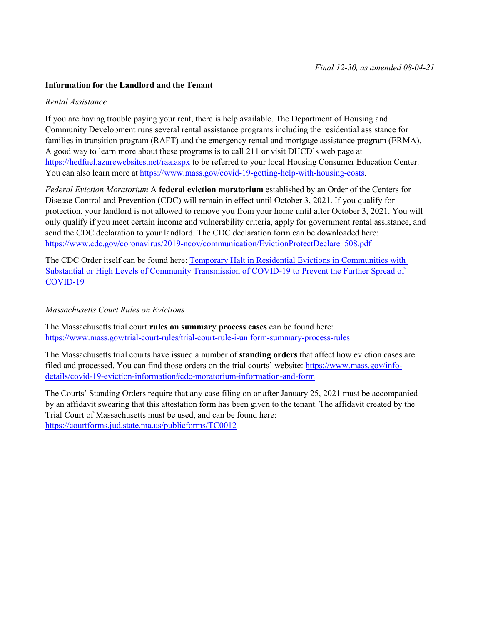#### **Information for the Landlord and the Tenant**

#### *Rental Assistance*

If you are having trouble paying your rent, there is help available. The Department of Housing and Community Development runs several rental assistance programs including the residential assistance for families in transition program (RAFT) and the emergency rental and mortgage assistance program (ERMA). A good way to learn more about these programs is to call 211 or visit DHCD's web page at <https://hedfuel.azurewebsites.net/raa.aspx> to be referred to your local Housing Consumer Education Center. You can also learn more at [https://www.mass.gov/covid](https://www.mass.gov/covid-19-getting-help-with-housing-costs)-19-getting-help-with-housing-costs.

*Federal Eviction Moratorium* A **federal eviction moratorium** established by an Order of the Centers for Disease Control and Prevention (CDC) will remain in effect until October 3, 2021. If you qualify for protection, your landlord is not allowed to remove you from your home until after October 3, 2021. You will only qualify if you meet certain income and vulnerability criteria, apply for government rental assistance, and send the CDC declaration to your landlord. The CDC declaration form can be downloaded here: https://www.cdc.gov/coronavirus/2019-[ncov/communication/EvictionProtectDeclare\\_508.pdf](https://www.cdc.gov/coronavirus/2019-ncov/communication/EvictionProtectDeclare_508.pdf)

The CDC Order itself can be found here: [Temporary Halt in Residential Evictions in Communities with](https://www.cdc.gov/coronavirus/2019-ncov/communication/Signed-CDC-Eviction-Order.pdf)  [Substantial or High Levels of Community Transmission of COVID](https://www.cdc.gov/coronavirus/2019-ncov/communication/Signed-CDC-Eviction-Order.pdf)-19 to Prevent the Further Spread of [COVID](https://www.cdc.gov/coronavirus/2019-ncov/communication/Signed-CDC-Eviction-Order.pdf)-19

#### *Massachusetts Court Rules on Evictions*

The Massachusetts trial court **rules on summary process cases** can be found here: https://www.mass.gov/trial-court-rules/trial[-court-rule-i-uniform-summary-](https://www.mass.gov/trial-court-rules/trial-court-rule-i-uniform-summary-process-rules)process-rules

The Massachusetts trial courts have issued a number of **standing orders** that affect how eviction cases are filed and processed. You can find those orders on the trial courts' website: [https://www.mass.gov/info](https://www.mass.gov/info-details/covid-19-eviction-information#cdc-moratorium-information-and-form)details/covid[-19-eviction-information#cdc-moratorium-information-and-form](https://www.mass.gov/info-details/covid-19-eviction-information#cdc-moratorium-information-and-form)

The Courts' Standing Orders require that any case filing on or after January 25, 2021 must be accompanied by an affidavit swearing that this attestation form has been given to the tenant. The affidavit created by the Trial Court of Massachusetts must be used, and can be found here: <https://courtforms.jud.state.ma.us/publicforms/TC0012>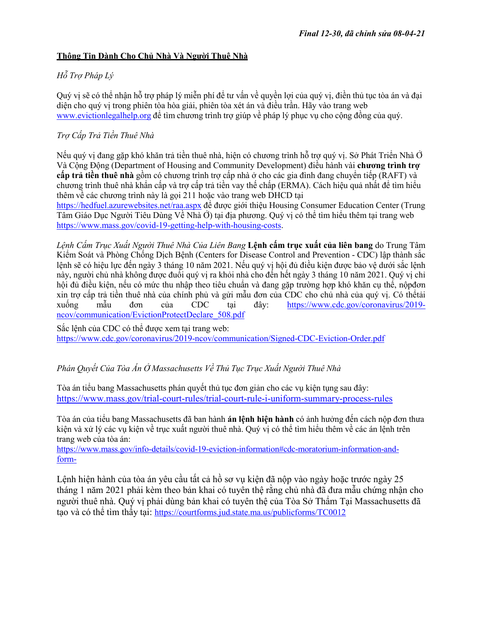# **Thông Tin Dành Cho Chủ Nhà Và Người Thuê Nhà**

# *Hỗ Trợ Pháp Lý*

Quý vị sẽ có thể nhận hỗ trợ pháp lý miễn phí để tư vấn về quyền lợi của quý vị, điền thủ tục tòa án và đại diện cho quý vị trong phiên tòa hòa giải, phiên tòa xét án và điều trần. Hãy vào trang web [www.evictionlegalhelp.org](http://www.evictionlegalhelp.org/) để tìm chương trình trợ giúp về pháp lý phục vụ cho cộng đồng của quý.

# *Trợ Cấp Trả Tiền Thuê Nhà*

Nếu quý vị đang gặp khó khăn trả tiền thuê nhà, hiện có chương trình hỗ trợ quý vị. Sở Phát Triển Nhà Ở Và Cộng Động (Department of Housing and Community Development) điều hành vài **chương trình trợ cấp trả tiền thuê nhà** gồm có chương trình trợ cấp nhà ở cho các gia đình đang chuyển tiếp (RAFT) và chương trình thuê nhà khẩn cấp và trợ cấp trả tiền vay thế chấp (ERMA). Cách hiệu quả nhất để tìm hiểu thêm về các chương trình này là gọi 211 hoặc vào trang web DHCD tại <https://hedfuel.azurewebsites.net/raa.aspx> để được giới thiệu Housing Consumer Education Center (Trung Tâm Giáo Dục Người Tiêu Dùng Về Nhà Ở) tại địa phương. Quý vị có thể tìm hiểu thêm tại trang web

[https://www.mass.gov/covid](https://www.mass.gov/covid-19-getting-help-with-housing-costs)-19-getting-help-with-housing-costs.

*Lệnh Cấm Trục Xuất Người Thuê Nhà Của Liên Bang* **Lệnh cấm trục xuất của liên bang** do Trung Tâm Kiểm Soát và Phòng Chống Dịch Bệnh (Centers for Disease Control and Prevention - CDC) lập thành sắc lệnh sẽ có hiệu lực đến ngày 3 tháng 10 năm 2021. Nếu quý vị hội đủ điều kiện được bảo vệ dưới sắc lệnh này, người chủ nhà không được đuổi quý vị ra khỏi nhà cho đến hết ngày 3 tháng 10 năm 2021. Quý vị chỉ hội đủ điều kiện, nếu có mức thu nhập theo tiêu chuẩn và đang gặp trường hợp khó khăn cụ thể, nộpđơn xin trợ cấp trả tiền thuê nhà của chính phủ và gửi mẫu đơn của CDC cho chủ nhà của quý vị. Có thểtải<br>xuống mẫu đơn của CDC tại đây: https://www.ede.gov/coronavirus/2019xuống mẫu đơn của CDC tại đây: [https://www.cdc.gov/coronavirus/2019](https://www.cdc.gov/coronavirus/2019-ncov/communication/EvictionProtectDeclare_508.pdf) [ncov/communication/EvictionProtectDeclare\\_508.pdf](https://www.cdc.gov/coronavirus/2019-ncov/communication/EvictionProtectDeclare_508.pdf)

Sắc lệnh của CDC có thể được xem tại trang web: [https://www.cdc.gov/coronavirus/2019](https://www.cdc.gov/coronavirus/2019-ncov/communication/Signed-CDC-Eviction-Order.pdf)-ncov/communication/Signed-CDC-Eviction-Order.pdf

# *Phán Quyết Của Tòa Án Ở Massachusetts Về Thủ Tục Trục Xuất Người Thuê Nhà*

Tòa án tiểu bang Massachusetts phán quyết thủ tục đơn giản cho các vụ kiện tụng sau đây: https://www.mass.gov/trial-court-rules/trial[-court-rule-i-uniform-summary-](http://www.mass.gov/trial-court-rules/trial-court-rule-i-uniform-summary-process-rules)process-rules

Tòa án của tiểu bang Massachusetts đã ban hành **án lệnh hiện hành** có ảnh hưởng đến cách nộp đơn thưa kiện và xử lý các vụ kiện về trục xuất người thuê nhà. Quý vị có thể tìm hiểu thêm về các án lệnh trên trang web của tòa án:

https://www.mass.gov/info-details/covid[-19-eviction-information#cdc-moratorium-information-and](https://www.mass.gov/info-details/covid-19-eviction-information#cdc-moratorium-information-and-form-)[form-](https://www.mass.gov/info-details/covid-19-eviction-information#cdc-moratorium-information-and-form-)

Lệnh hiện hành của tòa án yêu cầu tất cả hồ sơ vụ kiện đã nộp vào ngày hoặc trước ngày 25 tháng 1 năm 2021 phải kèm theo bản khai có tuyên thệ rằng chủ nhà đã đưa mẫu chứng nhận cho người thuê nhà. Quý vị phải dùng bản khai có tuyên thệ của Tòa Sở Thẩm Tại Massachusetts đã tạo và có thể tìm thấy tại: <https://courtforms.jud.state.ma.us/publicforms/TC0012>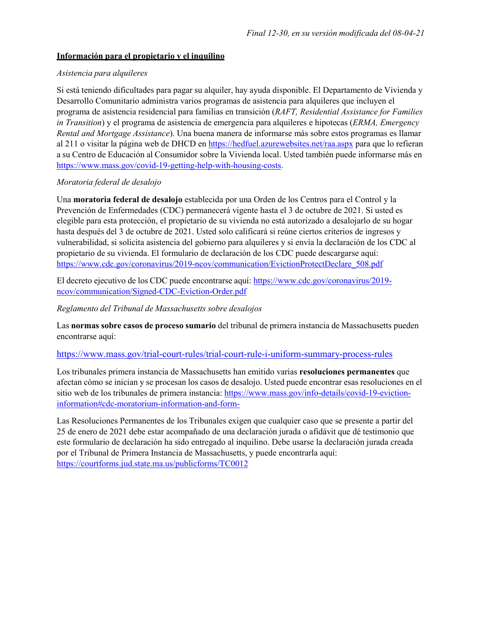# **Información para el propietario y el inquilino**

### *Asistencia para alquileres*

Si está teniendo dificultades para pagar su alquiler, hay ayuda disponible. El Departamento de Vivienda y Desarrollo Comunitario administra varios programas de asistencia para alquileres que incluyen el programa de asistencia residencial para familias en transición (*RAFT, Residential Assistance for Families in Transition*) y el programa de asistencia de emergencia para alquileres e hipotecas (*ERMA, Emergency Rental and Mortgage Assistance*). Una buena manera de informarse más sobre estos programas es llamar al 211 o visitar la página web de DHCD en<https://hedfuel.azurewebsites.net/raa.aspx> para que lo refieran a su Centro de Educación al Consumidor sobre la Vivienda local. Usted también puede informarse más en [https://www.mass.gov/covid](https://www.mass.gov/covid-19-getting-help-with-housing-costs)-19-getting-help-with-housing-costs.

### *Moratoria federal de desalojo*

Una **moratoria federal de desalojo** establecida por una Orden de los Centros para el Control y la Prevención de Enfermedades (CDC) permanecerá vigente hasta el 3 de octubre de 2021. Si usted es elegible para esta protección, el propietario de su vivienda no está autorizado a desalojarlo de su hogar hasta después del 3 de octubre de 2021. Usted solo calificará si reúne ciertos criterios de ingresos y vulnerabilidad, si solicita asistencia del gobierno para alquileres y si envía la declaración de los CDC al propietario de su vivienda. El formulario de declaración de los CDC puede descargarse aquí: https://www.cdc.gov/coronavirus/2019-[ncov/communication/EvictionProtectDeclare\\_508.pdf](https://www.cdc.gov/coronavirus/2019-ncov/communication/EvictionProtectDeclare_508.pdf)

El decreto ejecutivo de los CDC puede encontrarse aquí: [https://www.cdc.gov/coronavirus/2019](https://www.cdc.gov/coronavirus/2019-ncov/communication/Signed-CDC-Eviction-Order.pdf) [ncov/communication/Signed](https://www.cdc.gov/coronavirus/2019-ncov/communication/Signed-CDC-Eviction-Order.pdf)-CDC-Eviction-Order.pdf

### *Reglamento del Tribunal de Massachusetts sobre desalojos*

Las **normas sobre casos de proceso sumario** del tribunal de primera instancia de Massachusetts pueden encontrarse aquí:

#### https://www.mass.gov/trial-court-rules/trial[-court-rule-i-uniform-summary-](http://www.mass.gov/trial-court-rules/trial-court-rule-i-uniform-summary-process-rules)process-rules

Los tribunales primera instancia de Massachusetts han emitido varias **resoluciones permanentes** que afectan cómo se inician y se procesan los casos de desalojo. Usted puede encontrar esas resoluciones en el sitio web de los tribunales de primera instancia: [https://www.mass.gov/info](https://www.mass.gov/info-details/covid-19-eviction-information#cdc-moratorium-information-and-form-)-details/covid-19-eviction[information#cdc-moratorium-information-and-form-](https://www.mass.gov/info-details/covid-19-eviction-information#cdc-moratorium-information-and-form-)

Las Resoluciones Permanentes de los Tribunales exigen que cualquier caso que se presente a partir del 25 de enero de 2021 debe estar acompañado de una declaración jurada o afidávit que dé testimonio que este formulario de declaración ha sido entregado al inquilino. Debe usarse la declaración jurada creada por el Tribunal de Primera Instancia de Massachusetts, y puede encontrarla aquí: <https://courtforms.jud.state.ma.us/publicforms/TC0012>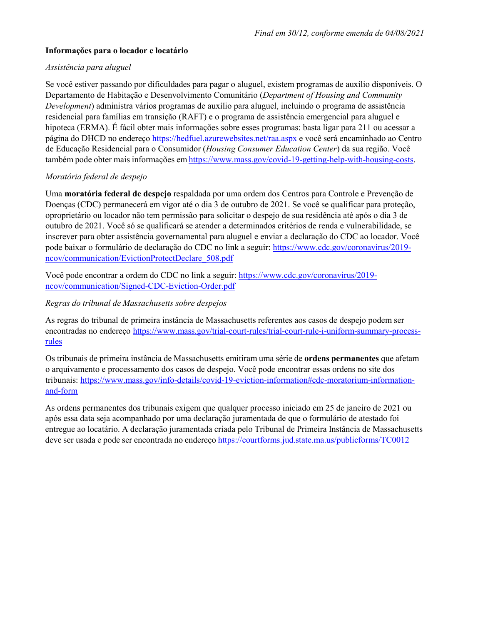## **Informações para o locador e locatário**

### *Assistência para aluguel*

Se você estiver passando por dificuldades para pagar o aluguel, existem programas de auxílio disponíveis. O Departamento de Habitação e Desenvolvimento Comunitário (*Department of Housing and Community Development*) administra vários programas de auxílio para aluguel, incluindo o programa de assistência residencial para famílias em transição (RAFT) e o programa de assistência emergencial para aluguel e hipoteca (ERMA). É fácil obter mais informações sobre esses programas: basta ligar para 211 ou acessar a página do DHCD no endereço <https://hedfuel.azurewebsites.net/raa.aspx> e você será encaminhado ao Centro de Educação Residencial para o Consumidor (*Housing Consumer Education Center*) da sua região. Você também pode obter mais informações em [https://www.mass.gov/covid](https://www.mass.gov/covid-19-getting-help-with-housing-costs)-19-getting-help-with-housing-costs.

# *Moratória federal de despejo*

Uma **moratória federal de despejo** respaldada por uma ordem dos Centros para Controle e Prevenção de Doenças (CDC) permanecerá em vigor até o dia 3 de outubro de 2021. Se você se qualificar para proteção, oproprietário ou locador não tem permissão para solicitar o despejo de sua residência até após o dia 3 de outubro de 2021. Você só se qualificará se atender a determinados critérios de renda e vulnerabilidade, se inscrever para obter assistência governamental para aluguel e enviar a declaração do CDC ao locador. Você pode baixar o formulário de declaração do CDC no link a seguir: [https://www.cdc.gov/coronavirus/2019](https://www.cdc.gov/coronavirus/2019-ncov/communication/EvictionProtectDeclare_508.pdf) [ncov/communication/EvictionProtectDeclare\\_508.pdf](https://www.cdc.gov/coronavirus/2019-ncov/communication/EvictionProtectDeclare_508.pdf)

Você pode encontrar a ordem do CDC no link a seguir: [https://www.cdc.gov/coronavirus/2019](https://www.cdc.gov/coronavirus/2019-ncov/communication/Signed-CDC-Eviction-Order.pdf) [ncov/communication/Signed](https://www.cdc.gov/coronavirus/2019-ncov/communication/Signed-CDC-Eviction-Order.pdf)-CDC-Eviction-Order.pdf

### *Regras do tribunal de Massachusetts sobre despejos*

As regras do tribunal de primeira instância de Massachusetts referentes aos casos de despejo podem ser encontradas no endereço https://www.mass.gov/trial-court-rules/trial[-court-rule-i-uniform-summary-](https://www.mass.gov/trial-court-rules/trial-court-rule-i-uniform-summary-process-rules)process[rules](https://www.mass.gov/trial-court-rules/trial-court-rule-i-uniform-summary-process-rules)

Os tribunais de primeira instância de Massachusetts emitiram uma série de **ordens permanentes** que afetam o arquivamento e processamento dos casos de despejo. Você pode encontrar essas ordens no site dos tribunais: https://www.mass.gov/info-details/covid[-19-eviction-information#cdc-moratorium-information](https://www.mass.gov/info-details/covid-19-eviction-information#cdc-moratorium-information-and-form)[and-form](https://www.mass.gov/info-details/covid-19-eviction-information#cdc-moratorium-information-and-form)

As ordens permanentes dos tribunais exigem que qualquer processo iniciado em 25 de janeiro de 2021 ou após essa data seja acompanhado por uma declaração juramentada de que o formulário de atestado foi entregue ao locatário. A declaração juramentada criada pelo Tribunal de Primeira Instância de Massachusetts deve ser usada e pode ser encontrada no endereço <https://courtforms.jud.state.ma.us/publicforms/TC0012>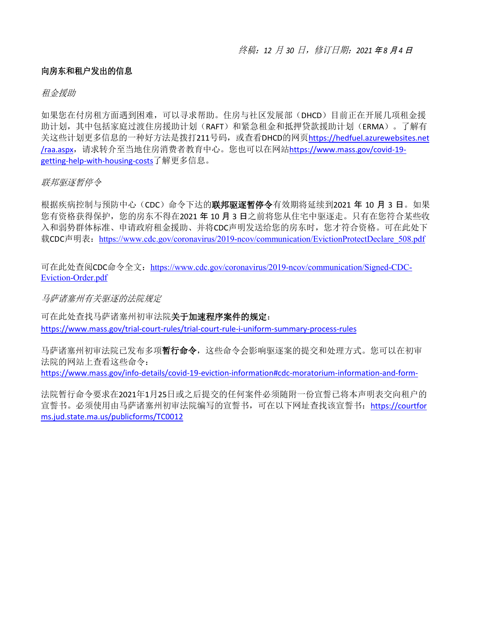# 向房东和租户发出的信息

# 租金援助

如果您在付房租方面遇到困难,可以寻求帮助。住房与社区发展部(DHCD)目前正在开展几项租金援 助计划, 其中包括家庭过渡住房援助计划(RAFT)和紧急租金和抵押贷款援助计划(ERMA)。了解有 关这些计划更多信息的一种好方法是拨打211号码,或查看DHCD的网页[https://hedfuel.azurewebsites.net](https://hedfuel.azurewebsites.net/raa.aspx) [/raa.aspx](https://hedfuel.azurewebsites.net/raa.aspx),请求转介至当地住房消费者教育中心。您也可以在网站[https://www.mass.gov/covid-19](https://www.mass.gov/covid-19-getting-help-with-housing-costs) [getting-help-with-housing-costs](https://www.mass.gov/covid-19-getting-help-with-housing-costs)了解更多信息。

# 联邦驱逐暂停令

根据疾病控制与预防中心(CDC)命令下达的**联邦驱逐暂停令**有效期将延续到2021年10月3日。如果 您有资格获得保护,您的房东不得在2021 年 10 月 3 日之前将您从住宅中驱逐走。只有在您符合某些收 入和弱势群体标准、申请政府租金援助、并将CDC声明发送给您的房东时,您才符合资格。可在此处下 载CDC声明表: https://www.cdc.gov/coronavirus/2019-ncov/communication/EvictionProtectDeclare 508.pdf

可在此处查阅CDC命令全文: [https://www.cdc.gov/coronavirus/2019](https://www.cdc.gov/coronavirus/2019-ncov/communication/Signed-CDC-Eviction-Order.pdf)-ncov/communication/Signed-CDC-Eviction-[Order.pdf](https://www.cdc.gov/coronavirus/2019-ncov/communication/Signed-CDC-Eviction-Order.pdf)

马萨诸塞州有关驱逐的法院规定

可在此处查找马萨诸塞州初审法院关于加速程序案件的规定: <https://www.mass.gov/trial-court-rules/trial-court-rule-i-uniform-summary-process-rules>

马萨诸塞州初审法院已发布多项暂行命令,这些命令会影响驱逐案的提交和处理方式。您可以在初审 法院的网站上查看这些命令:

<https://www.mass.gov/info-details/covid-19-eviction-information#cdc-moratorium-information-and-form->

法院暂行命令要求在2021年1月25日或之后提交的任何案件必须随附一份宣誓已将本声明表交向租户的 宣誓书。必须使用由马萨诸塞州初审法院编写的宣誓书,可在以下网址查找该宣誓书:[https://courtfor](https://courtforms.jud.state.ma.us/publicforms/TC0012) [ms.jud.state.ma.us/publicforms/TC0012](https://courtforms.jud.state.ma.us/publicforms/TC0012)